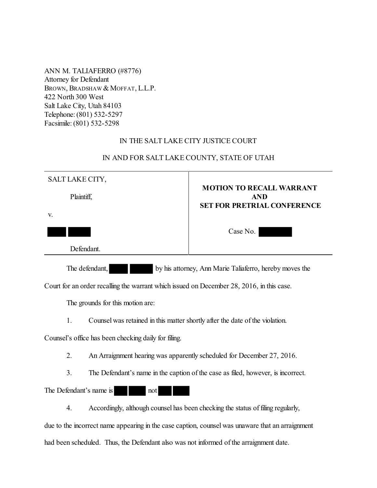ANN M. TALIAFERRO (#8776) Attorney for Defendant BROWN, BRADSHAW & MOFFAT, L.L.P. 422 North 300 West Salt Lake City, Utah 84103 Telephone: (801) 532-5297 Facsimile: (801) 532-5298

## IN THE SALT LAKE CITY JUSTICE COURT

| SALT LAKE CITY,                                                           | <b>MOTION TO RECALL WARRANT</b>                  |
|---------------------------------------------------------------------------|--------------------------------------------------|
| Plaintiff,                                                                | <b>AND</b><br><b>SET FOR PRETRIAL CONFERENCE</b> |
| V.                                                                        |                                                  |
|                                                                           | Case No.                                         |
| Defendant.                                                                |                                                  |
| by his attorney, Ann Marie Taliaferro, hereby moves the<br>The defendant, |                                                  |

IN AND FOR SALT LAKE COUNTY, STATE OF UTAH

Court for an order recalling the warrant which issued on December 28, 2016, in this case.

The grounds for this motion are:

1. Counsel was retained in this matter shortly after the date of the violation.

Counsel's office has been checking daily for filing.

2. An Arraignment hearing was apparently scheduled for December 27, 2016.

3. The Defendant's name in the caption of the case as filed, however, is incorrect.

The Defendant's name is not

4. Accordingly, although counsel has been checking the status of filing regularly,

due to the incorrect name appearing in the case caption, counsel was unaware that an arraignment had been scheduled. Thus, the Defendant also was not informed of the arraignment date.